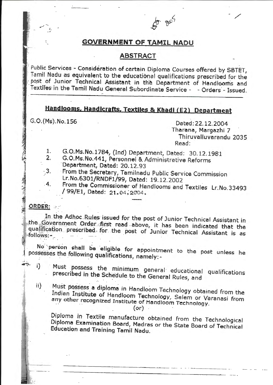$5,005$ 

#### **GOVERNMENT OF TAMIL NADU**

#### **ABSTRACT**

Public Services - Consideration of certain Diploma Courses offered by SBTET, Tamil Nadu as equivalent to the educational qualifications prescribed for the post of Junior Technical Assistant in the Department of Handlooms and Textiles in the Tamil Nadu General Subordinate Service - - Orders - Issued.

## Handlooms, Handicrafts, Textiles & Khadi (E2) Department

G.O. (Ms). No. 156

Dated: 22.12.2004 Tharana, Margazhi 7 Thiruvalluvarandu 2035 Read:

- G.O.Ms.No.1784, (Ind) Department, Dated: 30.12.1981  $\mathbf{1}$ .
- G.O.Ms.No.441, Personnel & Administrative Reforms  $2.$ Department, Dated: 20.12.93
- $\cdot$  3. From the Secretary, Tamilnadu Public Service Commission Lr.No.6301/RNDF1/99, Dated: 19.12.2002  $\cdot$ 4.
	- From the Commissioner of Handlooms and Textiles Lr.No.33493 / 99/E1, Dated: 21.04.2004.

### ORDER:

2012年10月

In the Adhoc Rules issued for the post of Junior Technical Assistant in the Government Order first read above, it has been indicated that the qualification prescribed for the post of Junior Technical Assistant is as follows:-

No person shall be eligible for appointment to the post unless he possesses the following qualifications, namely:-

- $i$ Must possess the minimum general educational qualifications prescribed in the Schedule to the General Rules, and
- $\mathbf{ii}$ Must possess a diploma in Handloom Technology obtained from the Indian Institute of Handloom Technology, Salem or Varanasi from any other recognized Institute of Handloom Technology.

 $($ or $)$ .

Diploma in Textile manufacture obtained from the Technological Diploma Examination Board, Madras or the State Board of Technical Education and Training Tamil Nadu.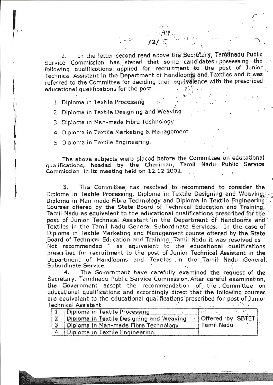In the letter second read above the Secretary, Tamilnadu Public  $2<sub>1</sub>$ Service Commission has stated that some candidates possessing the following qualifications applied for recruitment to the post of Junior Technical Assistant in the Department of Handlooms and Textiles and it was referred to the Committee for deciding their equivalence with the prescribed educational qualifications for the post.

1. Diploma in Textile Processing

2. Diploma in Textile Designing and Weaving

3. Diploma in Man-made Fibre Technology

4. Diploma in Textile Marketing & Management

5. Diploma in Textile Engineering.

The above subjects were placed before the Committee on educational qualifications, headed by the Chariman, Tamil Nadu Public Service Commission in its meeting held on 12.12.2002.

The Committee has resolved to recommend to consider the 3. Diploma in Textile Processing, Diploma in Textile Designing and Weaving; Diploma in Man-made Fibre Technology and Diploma in Textile Engineering Courses offered by the State Board of Technical Education and Training, Tamil Nadu as equivalent to the educational qualifications prescribed for the post of Junior Technical Assistant in the Department of Handlooms and Textiles in the Tamil Nadu General Subordinate Services. In the case of Diploma in Textile Marketing and Management course offered by the State Board of Technical Education and Training, Tamil Nadu it was resolved as . Not recommended " as equivalent to the educational qualifications prescribed for recruitment to the post of Junior Technical Assistant in the Department of Handlooms and Textiles in the Tamil Nadu General. Subordinate Service.

 $\mathbf{4}$ . The Government have carefully examined the request of the Secretary, Tamilnadu Public Service Commission. After careful examination, the Government accept the recommendation of the Committee on educational qualifications and accordingly direct that the following courses are equivalent to the educational qualifications prescribed for post of Junior **Technical Assistant**  $\mathcal{L} = \mathcal{L}$ 

| Diploma in Textile Processing            |                                                |
|------------------------------------------|------------------------------------------------|
| Diploma in Textile Designing and Weaving | <b>Offered</b> by SBTET<br><i>i</i> Tamil Nadu |
| Diploma in Man-made Fibre Technology     |                                                |
| Diploma in Textile Engineering.          |                                                |